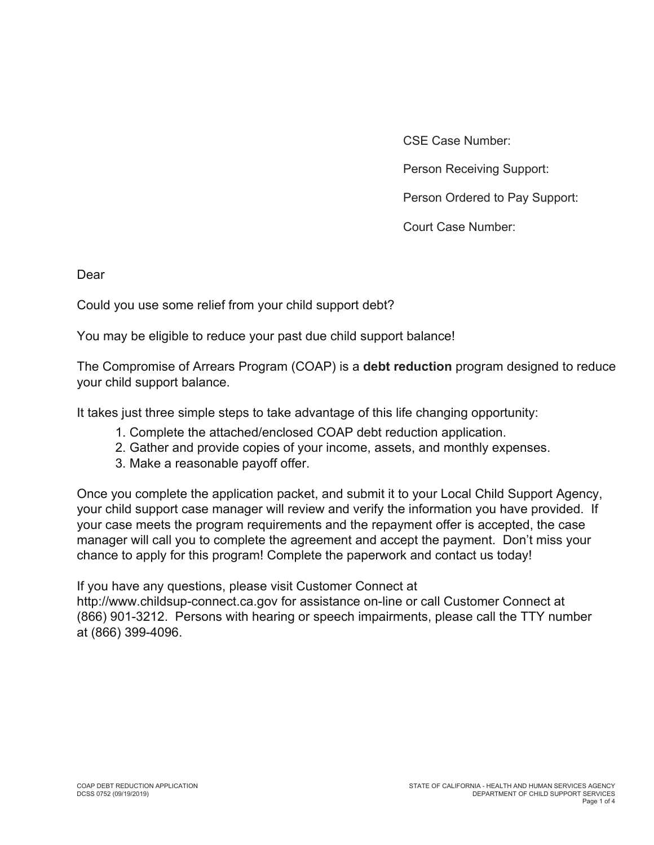CSE Case Number:

Person Receiving Support:

Person Ordered to Pay Support:

Court Case Number:

Dear

Could you use some relief from your child support debt?

You may be eligible to reduce your past due child support balance!

The Compromise of Arrears Program (COAP) is a **debt reduction** program designed to reduce your child support balance.

It takes just three simple steps to take advantage of this life changing opportunity:

- 1. Complete the attached/enclosed COAP debt reduction application.
- 2. Gather and provide copies of your income, assets, and monthly expenses.
- 3. Make a reasonable payoff offer.

Once you complete the application packet, and submit it to your Local Child Support Agency, your child support case manager will review and verify the information you have provided. If your case meets the program requirements and the repayment offer is accepted, the case manager will call you to complete the agreement and accept the payment. Don't miss your chance to apply for this program! Complete the paperwork and contact us today!

If you have any questions, please visit Customer Connect at

http://www.childsup-connect.ca.gov for assistance on-line or call Customer Connect at (866) 901-3212. Persons with hearing or speech impairments, please call the TTY number at (866) 399-4096.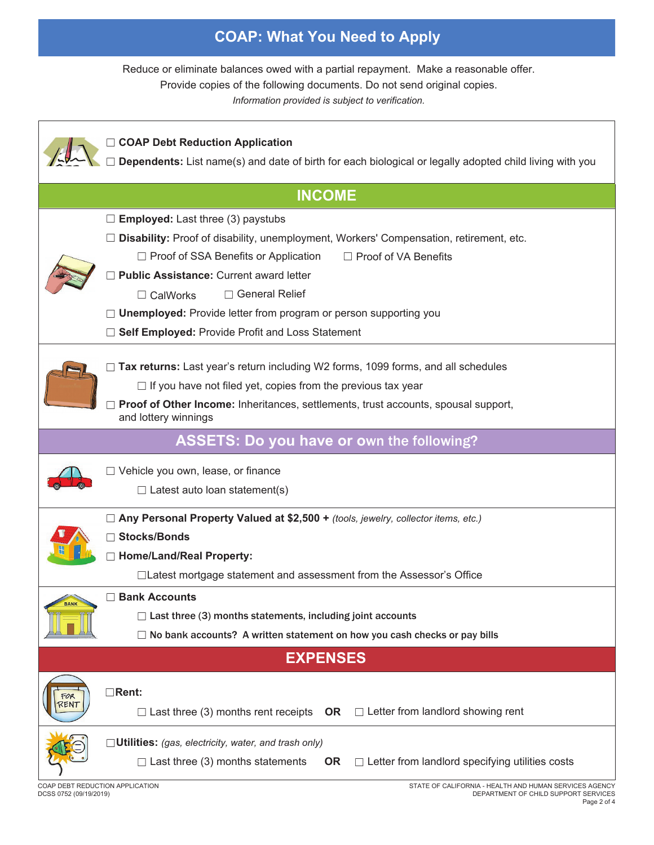## **COAP: What You Need to Apply**

Reduce or eliminate balances owed with a partial repayment. Make a reasonable offer.

Provide copies of the following documents. Do not send original copies.

*Information provided is subject to verification.*

|                                 | <b>COAP Debt Reduction Application</b><br>Dependents: List name(s) and date of birth for each biological or legally adopted child living with you                                                                                                                                                                                                                                                                            |
|---------------------------------|------------------------------------------------------------------------------------------------------------------------------------------------------------------------------------------------------------------------------------------------------------------------------------------------------------------------------------------------------------------------------------------------------------------------------|
|                                 | <b>INCOME</b>                                                                                                                                                                                                                                                                                                                                                                                                                |
|                                 | <b>Employed:</b> Last three (3) paystubs<br>Disability: Proof of disability, unemployment, Workers' Compensation, retirement, etc.<br>$\Box$ Proof of SSA Benefits or Application<br>□ Proof of VA Benefits<br>Public Assistance: Current award letter<br>□ General Relief<br>$\Box$ CalWorks<br><b>Unemployed:</b> Provide letter from program or person supporting you<br>Self Employed: Provide Profit and Loss Statement |
|                                 | Tax returns: Last year's return including W2 forms, 1099 forms, and all schedules<br>$\Box$ If you have not filed yet, copies from the previous tax year<br>Proof of Other Income: Inheritances, settlements, trust accounts, spousal support,<br>and lottery winnings                                                                                                                                                       |
|                                 | <b>ASSETS: Do you have or own the following?</b>                                                                                                                                                                                                                                                                                                                                                                             |
|                                 | □ Vehicle you own, lease, or finance<br>$\Box$ Latest auto loan statement(s)                                                                                                                                                                                                                                                                                                                                                 |
|                                 | □ Any Personal Property Valued at \$2,500 + (tools, jewelry, collector items, etc.)<br><b>□ Stocks/Bonds</b><br><b>Home/Land/Real Property:</b><br>□Latest mortgage statement and assessment from the Assessor's Office                                                                                                                                                                                                      |
| <b>BANK</b>                     | <b>Bank Accounts</b><br>$\Box$ Last three (3) months statements, including joint accounts<br>No bank accounts? A written statement on how you cash checks or pay bills                                                                                                                                                                                                                                                       |
|                                 | <b>EXPENSES</b>                                                                                                                                                                                                                                                                                                                                                                                                              |
| FOR<br>2ENT                     | $\Box$ Rent:<br>Last three (3) months rent receipts $OR \square$ Letter from landlord showing rent                                                                                                                                                                                                                                                                                                                           |
| COAP DEBT REDUCTION APPLICATION | $\Box$ Utilities: (gas, electricity, water, and trash only)<br>$\Box$ Letter from landlord specifying utilities costs<br>$\Box$ Last three (3) months statements<br><b>OR</b><br>STATE OF CALIFORNIA - HEALTH AND HUMAN SERVICES AGENCY                                                                                                                                                                                      |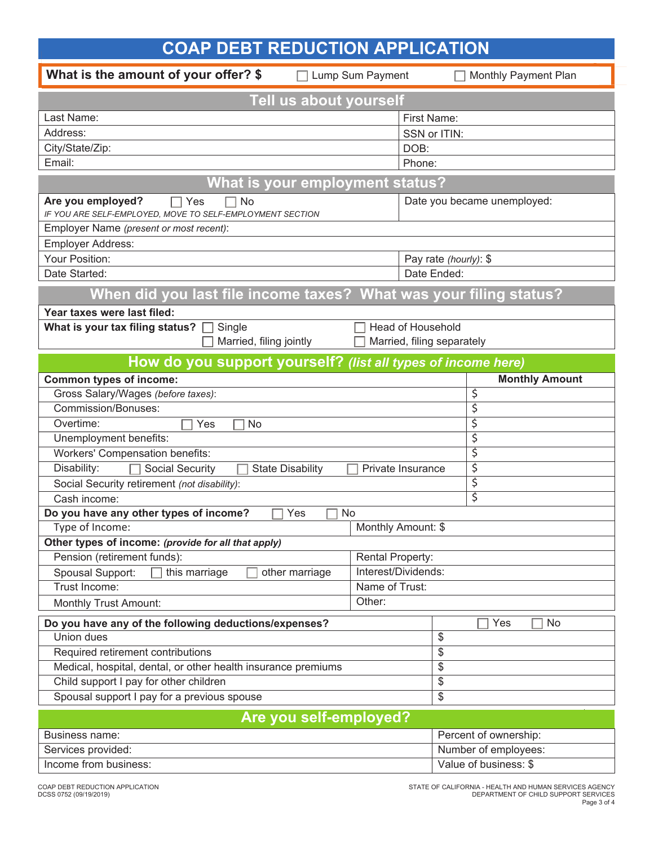| <b>COAP DEBT REDUCTION APPLICATION</b>                                                      |                                       |                                               |    |                             |    |  |  |
|---------------------------------------------------------------------------------------------|---------------------------------------|-----------------------------------------------|----|-----------------------------|----|--|--|
| What is the amount of your offer? \$                                                        | Lump Sum Payment                      |                                               |    | Monthly Payment Plan        |    |  |  |
| Tell us about yourself                                                                      |                                       |                                               |    |                             |    |  |  |
| Last Name:                                                                                  |                                       | First Name:                                   |    |                             |    |  |  |
| Address:                                                                                    |                                       | SSN or ITIN:                                  |    |                             |    |  |  |
| City/State/Zip:                                                                             | DOB:                                  |                                               |    |                             |    |  |  |
| Email:                                                                                      | Phone:                                |                                               |    |                             |    |  |  |
| What is your employment status?                                                             |                                       |                                               |    |                             |    |  |  |
| Are you employed?<br>No<br>Yes<br>IF YOU ARE SELF-EMPLOYED, MOVE TO SELF-EMPLOYMENT SECTION |                                       |                                               |    | Date you became unemployed: |    |  |  |
| Employer Name (present or most recent):                                                     |                                       |                                               |    |                             |    |  |  |
| <b>Employer Address:</b>                                                                    |                                       |                                               |    |                             |    |  |  |
| Your Position:                                                                              |                                       | Pay rate (hourly): \$                         |    |                             |    |  |  |
| Date Started:                                                                               |                                       | Date Ended:                                   |    |                             |    |  |  |
| When did you last file income taxes? What was your filing status?                           |                                       |                                               |    |                             |    |  |  |
| Year taxes were last filed:                                                                 |                                       |                                               |    |                             |    |  |  |
| What is your tax filing status? $\square$<br>Single                                         | <b>Head of Household</b>              |                                               |    |                             |    |  |  |
| Married, filing jointly                                                                     | Married, filing separately            |                                               |    |                             |    |  |  |
| How do you support yourself? (list all types of income here)                                |                                       |                                               |    |                             |    |  |  |
| <b>Common types of income:</b>                                                              |                                       | <b>Monthly Amount</b>                         |    |                             |    |  |  |
| Gross Salary/Wages (before taxes):                                                          |                                       |                                               | \$ |                             |    |  |  |
| Commission/Bonuses:                                                                         |                                       |                                               | \$ |                             |    |  |  |
| Overtime:<br>Yes<br><b>No</b>                                                               |                                       | \$                                            |    |                             |    |  |  |
| Unemployment benefits:                                                                      |                                       |                                               | \$ |                             |    |  |  |
| <b>Workers' Compensation benefits:</b>                                                      |                                       |                                               | \$ |                             |    |  |  |
| Disability:<br>Social Security<br><b>State Disability</b>                                   | Private Insurance                     | \$                                            |    |                             |    |  |  |
| Social Security retirement (not disability):                                                |                                       | \$                                            |    |                             |    |  |  |
| Cash income:                                                                                |                                       | \$                                            |    |                             |    |  |  |
| Do you have any other types of income?<br>$\Box$ Yes<br>$\Box$ No                           |                                       |                                               |    |                             |    |  |  |
| Type of Income:                                                                             | Monthly Amount: \$                    |                                               |    |                             |    |  |  |
| Other types of income: (provide for all that apply)                                         |                                       |                                               |    |                             |    |  |  |
| Pension (retirement funds):                                                                 | Rental Property:                      |                                               |    |                             |    |  |  |
| Spousal Support:<br>this marriage<br>other marriage                                         | Interest/Dividends:<br>Name of Trust: |                                               |    |                             |    |  |  |
| Trust Income:                                                                               |                                       |                                               |    |                             |    |  |  |
|                                                                                             | Other:<br>Monthly Trust Amount:       |                                               |    |                             |    |  |  |
| Do you have any of the following deductions/expenses?                                       |                                       |                                               |    | Yes                         | No |  |  |
| Union dues                                                                                  | $\boldsymbol{\mathsf{S}}$             |                                               |    |                             |    |  |  |
| Required retirement contributions                                                           | \$                                    |                                               |    |                             |    |  |  |
| Medical, hospital, dental, or other health insurance premiums                               | $\frac{1}{2}$                         |                                               |    |                             |    |  |  |
| Child support I pay for other children<br>Spousal support I pay for a previous spouse       | $\overline{\$}$<br>$\,$               |                                               |    |                             |    |  |  |
| Are you self-employed?                                                                      |                                       |                                               |    |                             |    |  |  |
| Business name:                                                                              |                                       |                                               |    |                             |    |  |  |
| Services provided:                                                                          |                                       | Percent of ownership:<br>Number of employees: |    |                             |    |  |  |
| Income from business:                                                                       |                                       | Value of business: \$                         |    |                             |    |  |  |
|                                                                                             |                                       |                                               |    |                             |    |  |  |